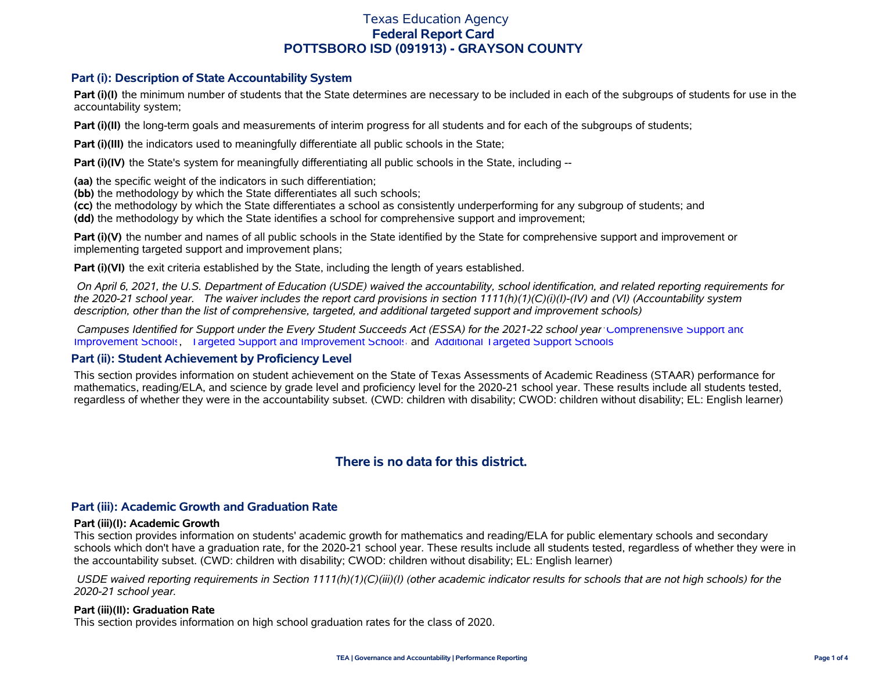### **Part (i): Description of State Accountability System**

**Part (i)(I)** the minimum number of students that the State determines are necessary to be included in each of the subgroups of students for use in the accountability system;

**Part (i)(II)** the long-term goals and measurements of interim progress for all students and for each of the subgroups of students;

**Part (i)(III)** the indicators used to meaningfully differentiate all public schools in the State;

**Part (i)(IV)** the State's system for meaningfully differentiating all public schools in the State, including --

**(aa)** the specific weight of the indicators in such differentiation;

**(bb)** the methodology by which the State differentiates all such schools;

**(cc)** the methodology by which the State differentiates a school as consistently underperforming for any subgroup of students; and

**(dd)** the methodology by which the State identifies a school for comprehensive support and improvement;

**Part (i)(V)** the number and names of all public schools in the State identified by the State for comprehensive support and improvement or implementing targeted support and improvement plans;

**Part (i)(VI)** the exit criteria established by the State, including the length of years established.

 *On April 6, 2021, the U.S. Department of Education (USDE) waived the accountability, school identification, and related reporting requirements for the 2020-21 school year. The waiver includes the report card provisions in section 1111(h)(1)(C)(i)(I)-(IV) and (VI) (Accountability system description, other than the list of comprehensive, targeted, and additional targeted support and improvement schools)* 

 *Campuses Identified for Support under the Every Student Succeeds Act (ESSA) for the 2021-22 school year:* [Comprehensive Support and](https://tea.texas.gov/sites/default/files/comprehensive_support_2021.xlsx) [Improvement Schools](https://tea.texas.gov/sites/default/files/comprehensive_support_2021.xlsx), [Targeted Support and Improvement Schools](https://tea.texas.gov/sites/default/files/targeted_support_2021.xlsx) and [Additional Targeted Support Schools.](https://tea.texas.gov/sites/default/files/additional_targeted_support_2021.xlsx)

### **Part (ii): Student Achievement by Proficiency Level**

This section provides information on student achievement on the State of Texas Assessments of Academic Readiness (STAAR) performance for mathematics, reading/ELA, and science by grade level and proficiency level for the 2020-21 school year. These results include all students tested, regardless of whether they were in the accountability subset. (CWD: children with disability; CWOD: children without disability; EL: English learner)

# **There is no data for this district.**

### **Part (iii): Academic Growth and Graduation Rate**

#### **Part (iii)(I): Academic Growth**

This section provides information on students' academic growth for mathematics and reading/ELA for public elementary schools and secondary schools which don't have a graduation rate, for the 2020-21 school year. These results include all students tested, regardless of whether they were in the accountability subset. (CWD: children with disability; CWOD: children without disability; EL: English learner)

 *USDE waived reporting requirements in Section 1111(h)(1)(C)(iii)(I) (other academic indicator results for schools that are not high schools) for the 2020-21 school year.*

### **Part (iii)(II): Graduation Rate**

This section provides information on high school graduation rates for the class of 2020.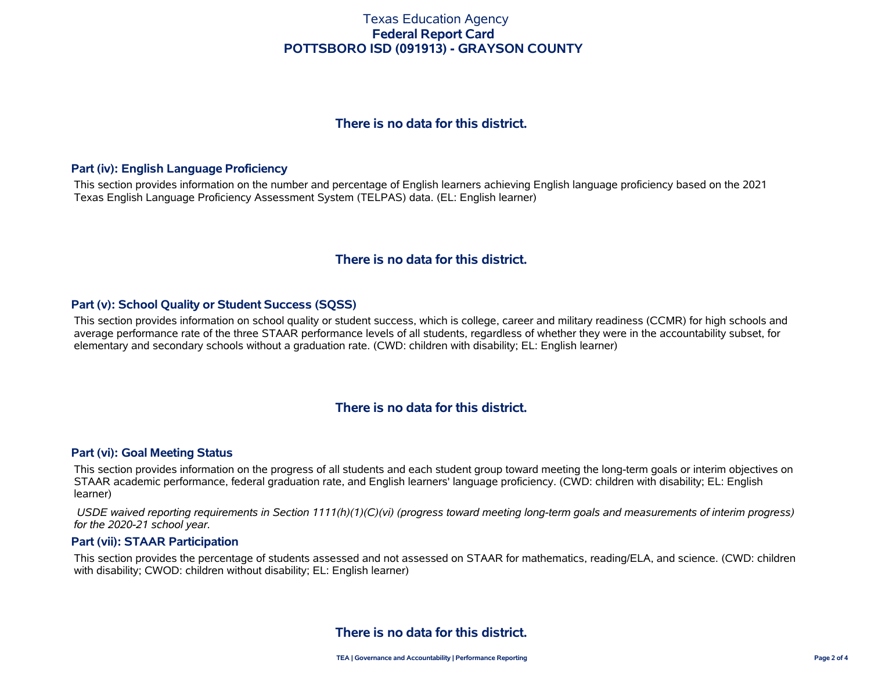# **There is no data for this district.**

### **Part (iv): English Language Proficiency**

This section provides information on the number and percentage of English learners achieving English language proficiency based on the 2021 Texas English Language Proficiency Assessment System (TELPAS) data. (EL: English learner)

# **There is no data for this district.**

### **Part (v): School Quality or Student Success (SQSS)**

This section provides information on school quality or student success, which is college, career and military readiness (CCMR) for high schools and average performance rate of the three STAAR performance levels of all students, regardless of whether they were in the accountability subset, for elementary and secondary schools without a graduation rate. (CWD: children with disability; EL: English learner)

## **There is no data for this district.**

### **Part (vi): Goal Meeting Status**

This section provides information on the progress of all students and each student group toward meeting the long-term goals or interim objectives on STAAR academic performance, federal graduation rate, and English learners' language proficiency. (CWD: children with disability; EL: English learner)

 *USDE waived reporting requirements in Section 1111(h)(1)(C)(vi) (progress toward meeting long-term goals and measurements of interim progress) for the 2020-21 school year.*

#### **Part (vii): STAAR Participation**

This section provides the percentage of students assessed and not assessed on STAAR for mathematics, reading/ELA, and science. (CWD: children with disability; CWOD: children without disability; EL: English learner)

# **There is no data for this district.**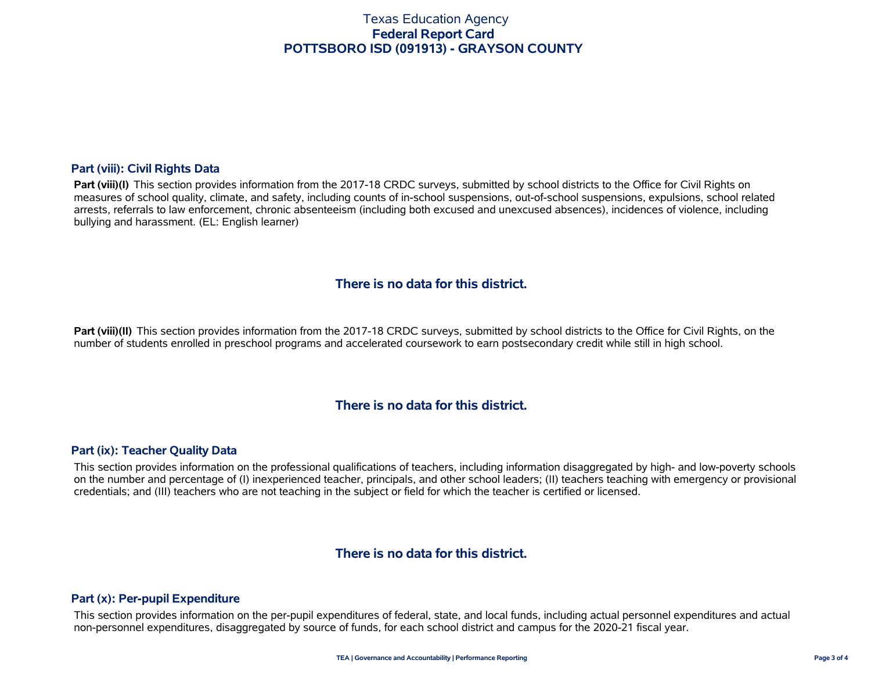### **Part (viii): Civil Rights Data**

Part (viii)(I) This section provides information from the 2017-18 CRDC surveys, submitted by school districts to the Office for Civil Rights on measures of school quality, climate, and safety, including counts of in-school suspensions, out-of-school suspensions, expulsions, school related arrests, referrals to law enforcement, chronic absenteeism (including both excused and unexcused absences), incidences of violence, including bullying and harassment. (EL: English learner)

## **There is no data for this district.**

**Part (viii)(II)** This section provides information from the 2017-18 CRDC surveys, submitted by school districts to the Office for Civil Rights, on the number of students enrolled in preschool programs and accelerated coursework to earn postsecondary credit while still in high school.

# **There is no data for this district.**

### **Part (ix): Teacher Quality Data**

This section provides information on the professional qualifications of teachers, including information disaggregated by high- and low-poverty schools on the number and percentage of (I) inexperienced teacher, principals, and other school leaders; (II) teachers teaching with emergency or provisional credentials; and (III) teachers who are not teaching in the subject or field for which the teacher is certified or licensed.

## **There is no data for this district.**

### **Part (x): Per-pupil Expenditure**

This section provides information on the per-pupil expenditures of federal, state, and local funds, including actual personnel expenditures and actual non-personnel expenditures, disaggregated by source of funds, for each school district and campus for the 2020-21 fiscal year.